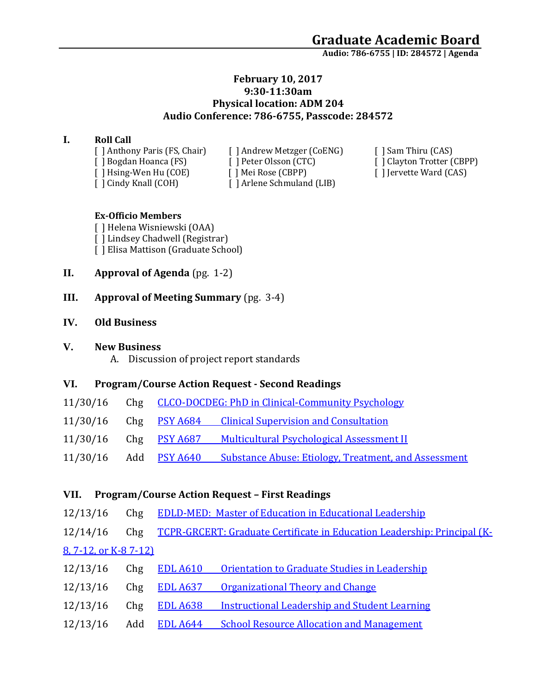**Audio: 786-6755 | ID: 284572 <sup>|</sup> Agenda**

### **February 10, 2017 9:30-11:30am Physical location: ADM 204 Audio Conference: 786-6755, Passcode: 284572**

### **I. Roll Call**

[ ] Anthony Paris (FS, Chair) [ ] Andrew Metzger (CoENG) [ ] Sam Thiru (CAS) [ ] Cindy Knall (COH) [ ] Arlene Schmuland (LIB)

[ ] Bogdan Hoanca (FS) [ ] Peter Olsson (CTC) [ ] Clayton Trotter (CBPP) [ ] Hsing-Wen Hu (COE) [ ] Mei Rose (CBPP) [ ] Jervette Ward (CAS)

#### **Ex-Officio Members**

[ ] Helena Wisniewski (OAA) [ ] Lindsey Chadwell (Registrar) [ ] Elisa Mattison (Graduate School)

**II. Approval of Agenda** (pg. 1-2)

### **III. Approval of Meeting Summary** (pg. 3-4)

#### **IV. Old Business**

#### **V. New Business**

A. Discussion of project report standards

### **VI. Program/Course Action Request - Second Readings**

| 11/30/16 |  | Chg CLCO-DOCDEG: PhD in Clinical-Community Psychology |
|----------|--|-------------------------------------------------------|
| 11/30/16 |  | Chg PSY A684 Clinical Supervision and Consultation    |

- 11/30/16 Chg PSY A687 [Multicultural Psychological Assessment II](https://nextcatalog.uaa.alaska.edu/courseleaf/courseleaf.cgi?page=/courseadmin/5677/index.html&step=tcadiff)
- 11/30/16 Add PSY A640 [Substance Abuse: Etiology, Treatment, and Assessment](https://nextcatalog.uaa.alaska.edu/courseleaf/courseleaf.cgi?page=/courseadmin/7789/index.html&step=tcadiff)

### **VII. Program/Course Action Request – First Readings**

- 12/13/16 Chg [EDLD-MED: Master of Education in Educational Leadership](https://nextcatalog.uaa.alaska.edu/courseleaf/courseleaf.cgi?page=/programadmin/16/index.html&step=tcadiff)
- 12/14/16 Chg [TCPR-GRCERT: Graduate Certificate in](https://nextcatalog.uaa.alaska.edu/courseleaf/courseleaf.cgi?page=/programadmin/15/index.html&step=tcadiff) Education Leadership: Principal (K-[8, 7-12, or K-8 7-12\)](https://nextcatalog.uaa.alaska.edu/courseleaf/courseleaf.cgi?page=/programadmin/15/index.html&step=tcadiff)
- 12/13/16 Chg EDL A610 [Orientation to Graduate Studies in Leadership](https://nextcatalog.uaa.alaska.edu/courseleaf/courseleaf.cgi?page=/courseadmin/2668/index.html&step=tcadiff) 12/13/16 Chg **EDL A637** [Organizational Theory and Change](https://nextcatalog.uaa.alaska.edu/courseleaf/courseleaf.cgi?page=/courseadmin/2663/index.html&step=tcadiff) 12/13/16 Chg EDL A638 [Instructional Leadership and Student Learning](https://nextcatalog.uaa.alaska.edu/courseleaf/courseleaf.cgi?page=/courseadmin/2664/index.html&step=tcadiff)
- 12/13/16 Add EDL A644 [School Resource Allocation and Management](https://nextcatalog.uaa.alaska.edu/courseleaf/courseleaf.cgi?page=/courseadmin/7867/index.html&step=tcadiff)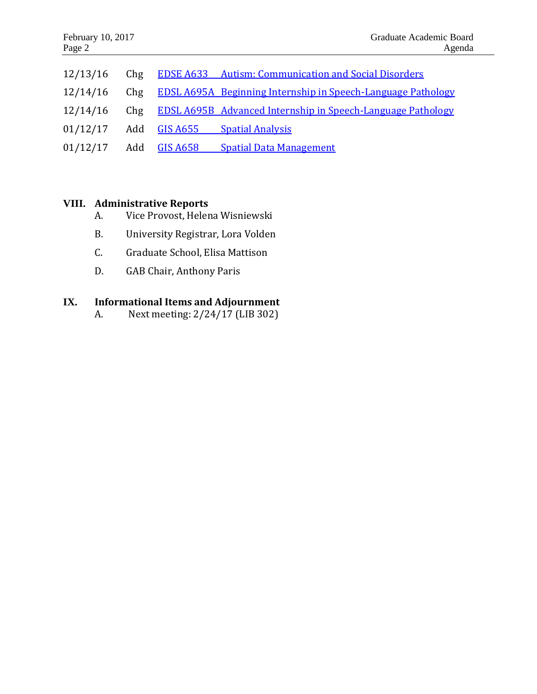| 12/13/16                  |              | Chg EDSE A633 Autism: Communication and Social Disorders         |
|---------------------------|--------------|------------------------------------------------------------------|
| 12/14/16                  |              | Chg EDSL A695A Beginning Internship in Speech-Language Pathology |
| 12/14/16                  |              | Chg EDSL A695B Advanced Internship in Speech-Language Pathology  |
| 01/12/17                  | Add GIS A655 | <b>Spatial Analysis</b>                                          |
| $01/12/17$ Add $GIS A658$ |              | <b>Spatial Data Management</b>                                   |

## **VIII. Administrative Reports**

- A. Vice Provost, Helena Wisniewski
- B. University Registrar, Lora Volden
- C. Graduate School, Elisa Mattison
- D. GAB Chair, Anthony Paris

# **IX. Informational Items and Adjournment**

A. Next meeting: 2/24/17 (LIB 302)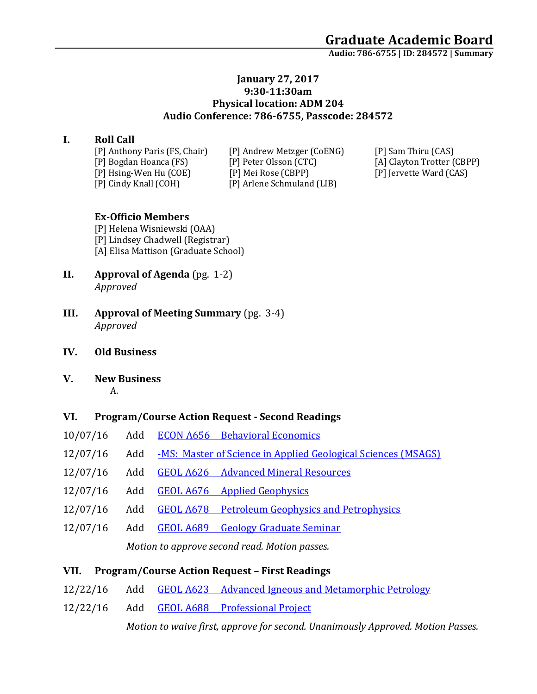**Audio: 786-6755 | ID: 284572 <sup>|</sup> Summary**

### **January 27, 2017 9:30-11:30am Physical location: ADM 204 Audio Conference: 786-6755, Passcode: 284572**

## **I. Roll Call**

[P] Cindy Knall (COH) [P] Arlene Schmuland (LIB)

[P] Anthony Paris (FS, Chair) [P] Andrew Metzger (CoENG) [P] Sam Thiru (CAS) [P] Bogdan Hoanca (FS) [P] Peter Olsson (CTC) [A] Clayton Trotter (CBPP) [P] Hsing-Wen Hu (COE) [P] Mei Rose (CBPP) [P] Jervette Ward (CAS)

### **Ex-Officio Members**

[P] Helena Wisniewski (OAA) [P] Lindsey Chadwell (Registrar) [A] Elisa Mattison (Graduate School)

- **II. Approval of Agenda** (pg. 1-2) *Approved*
- **III. Approval of Meeting Summary** (pg. 3-4) *Approved*
- **IV. Old Business**
- **V. New Business**

A.

### **VI. Program/Course Action Request - Second Readings**

- 10/07/16 Add ECON A656 [Behavioral Economics](https://nextcatalog.uaa.alaska.edu/courseleaf/courseleaf.cgi?page=/courseadmin/7341/index.html&step=tcadiff)
- 12/07/16 Add [-MS: Master of Science in Applied Geological Sciences \(MSAGS\)](https://nextcatalog.uaa.alaska.edu/courseleaf/courseleaf.cgi?page=/programadmin/289/index.html&step=tcadiff)
- 12/07/16 Add GEOL A626 [Advanced Mineral Resources](https://nextcatalog.uaa.alaska.edu/courseleaf/courseleaf.cgi?page=/courseadmin/7862/index.html&step=tcadiff)
- 12/07/16 Add GEOL A676 [Applied Geophysics](https://nextcatalog.uaa.alaska.edu/courseleaf/courseleaf.cgi?page=/courseadmin/7863/index.html&step=tcadiff)
- 12/07/16 Add GEOL A678 [Petroleum Geophysics and Petrophysics](https://nextcatalog.uaa.alaska.edu/courseleaf/courseleaf.cgi?page=/courseadmin/7865/index.html&step=tcadiff)
- 12/07/16 Add GEOL A689 [Geology Graduate Seminar](https://nextcatalog.uaa.alaska.edu/courseleaf/courseleaf.cgi?page=/courseadmin/7866/index.html&step=tcadiff)

*Motion to approve second read. Motion passes.* 

### **VII. Program/Course Action Request – First Readings**

- 12/22/16 Add GEOL A623 [Advanced Igneous and Metamorphic Petrology](https://nextcatalog.uaa.alaska.edu/courseleaf/courseleaf.cgi?page=/courseadmin/7920/index.html&step=tcadiff)
- 12/22/16 Add GEOL A688 [Professional Project](https://nextcatalog.uaa.alaska.edu/courseleaf/courseleaf.cgi?page=/courseadmin/7916/index.html&step=tcadiff)

*Motion to waive first, approve for second. Unanimously Approved. Motion Passes.*